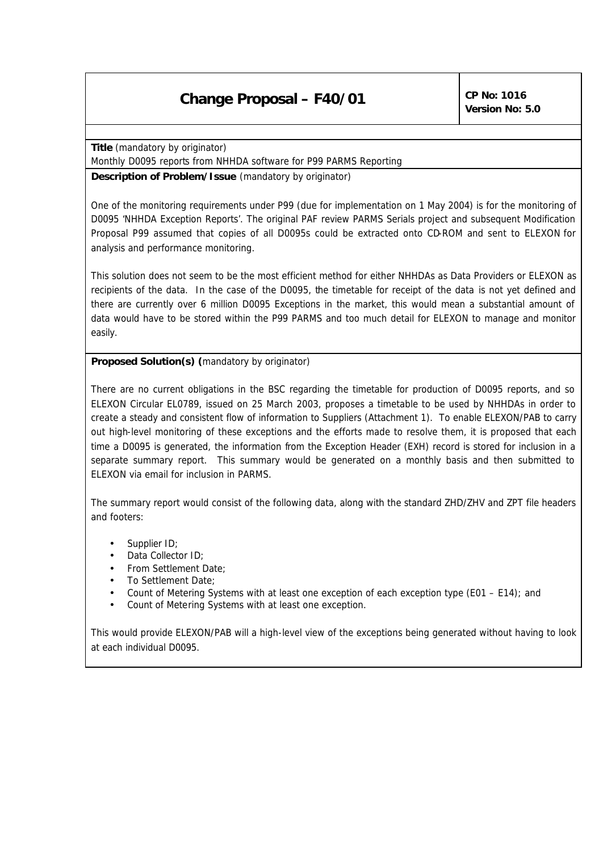## **Change Proposal – F40/01 CP No:** 1016

*Version No: 5.0*

**Title** (mandatory by originator)

Monthly D0095 reports from NHHDA software for P99 PARMS Reporting

**Description of Problem/Issue** (mandatory by originator)

One of the monitoring requirements under P99 (due for implementation on 1 May 2004) is for the monitoring of D0095 'NHHDA Exception Reports'. The original PAF review PARMS Serials project and subsequent Modification Proposal P99 assumed that copies of all D0095s could be extracted onto CD-ROM and sent to ELEXON for analysis and performance monitoring.

This solution does not seem to be the most efficient method for either NHHDAs as Data Providers or ELEXON as recipients of the data. In the case of the D0095, the timetable for receipt of the data is not yet defined and there are currently over 6 million D0095 Exceptions in the market, this would mean a substantial amount of data would have to be stored within the P99 PARMS and too much detail for ELEXON to manage and monitor easily.

**Proposed Solution(s)** *(mandatory by originator)*

There are no current obligations in the BSC regarding the timetable for production of D0095 reports, and so ELEXON Circular EL0789, issued on 25 March 2003, proposes a timetable to be used by NHHDAs in order to create a steady and consistent flow of information to Suppliers (Attachment 1). To enable ELEXON/PAB to carry out high-level monitoring of these exceptions and the efforts made to resolve them, it is proposed that each time a D0095 is generated, the information from the Exception Header (EXH) record is stored for inclusion in a separate summary report. This summary would be generated on a monthly basis and then submitted to ELEXON via email for inclusion in PARMS.

The summary report would consist of the following data, along with the standard ZHD/ZHV and ZPT file headers and footers:

- Supplier ID;
- Data Collector ID;
- From Settlement Date;
- To Settlement Date;
- Count of Metering Systems with at least one exception of each exception type (E01 E14); and
- Count of Metering Systems with at least one exception.

This would provide ELEXON/PAB will a high-level view of the exceptions being generated without having to look at each individual D0095.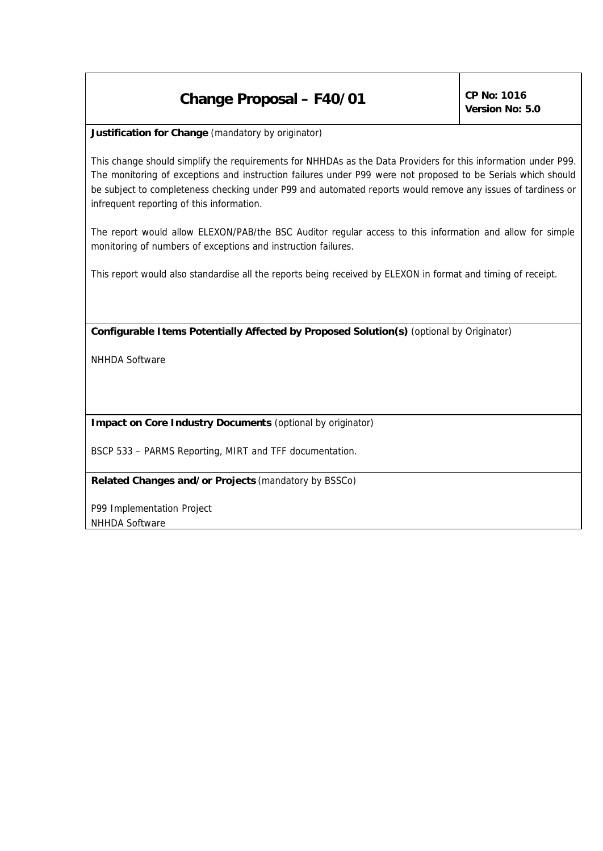## **Change Proposal – F40/01 CP No:** 1016

*Version No: 5.0*

**Justification for Change** *(mandatory by originator)*

This change should simplify the requirements for NHHDAs as the Data Providers for this information under P99. The monitoring of exceptions and instruction failures under P99 were not proposed to be Serials which should be subject to completeness checking under P99 and automated reports would remove any issues of tardiness or infrequent reporting of this information.

The report would allow ELEXON/PAB/the BSC Auditor regular access to this information and allow for simple monitoring of numbers of exceptions and instruction failures.

This report would also standardise all the reports being received by ELEXON in format and timing of receipt.

**Configurable Items Potentially Affected by Proposed Solution(s)** *(optional by Originator)*

NHHDA Software

**Impact on Core Industry Documents** *(optional by originator)*

BSCP 533 – PARMS Reporting, MIRT and TFF documentation.

**Related Changes and/or Projects** *(mandatory by BSSCo)*

P99 Implementation Project NHHDA Software